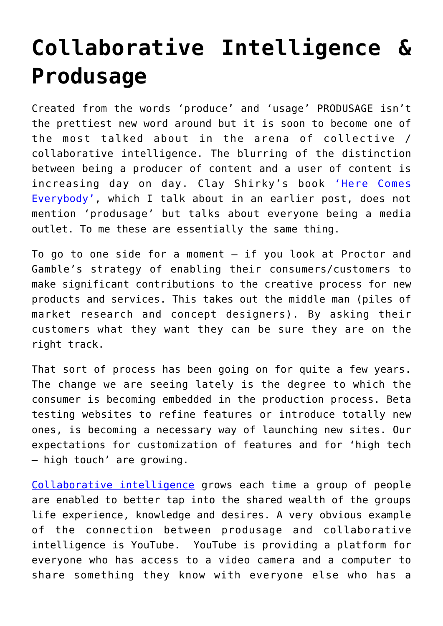## **[Collaborative Intelligence &](https://gettingclevertogether.com/uncategorized/collaborative-intelligence-produsage/) [Produsage](https://gettingclevertogether.com/uncategorized/collaborative-intelligence-produsage/)**

Created from the words 'produce' and 'usage' PRODUSAGE isn't the prettiest new word around but it is soon to become one of the most talked about in the arena of collective / collaborative intelligence. The blurring of the distinction between being a producer of content and a user of content is increasing day on day. Clay Shirky's book ['Here Comes](http://gettingclevertogether.com/uncategorized/here-comes-everybody/) [Everybody',](http://gettingclevertogether.com/uncategorized/here-comes-everybody/) which I talk about in an earlier post, does not mention 'produsage' but talks about everyone being a media outlet. To me these are essentially the same thing.

To go to one side for a moment – if you look at Proctor and Gamble's strategy of enabling their consumers/customers to make significant contributions to the creative process for new products and services. This takes out the middle man (piles of market research and concept designers). By asking their customers what they want they can be sure they are on the right track.

That sort of process has been going on for quite a few years. The change we are seeing lately is the degree to which the consumer is becoming embedded in the production process. Beta testing websites to refine features or introduce totally new ones, is becoming a necessary way of launching new sites. Our expectations for customization of features and for 'high tech – high touch' are growing.

[Collaborative intelligence](http://gettingclevertogether.com/about/) grows each time a group of people are enabled to better tap into the shared wealth of the groups life experience, knowledge and desires. A very obvious example of the connection between produsage and collaborative intelligence is YouTube. YouTube is providing a platform for everyone who has access to a video camera and a computer to share something they know with everyone else who has a